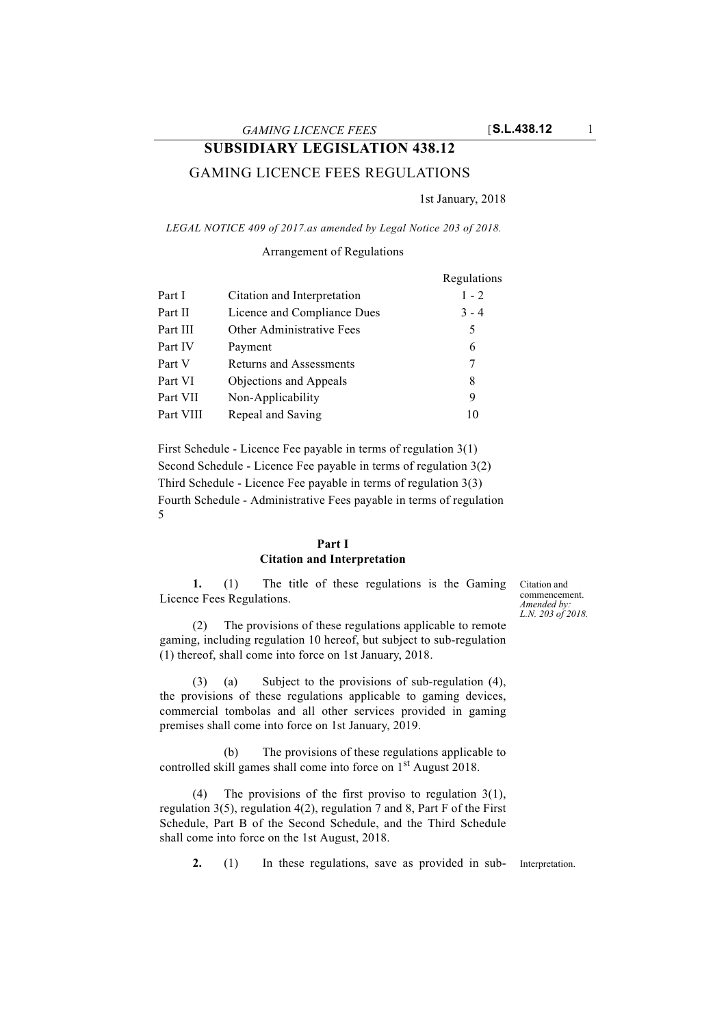# **SUBSIDIARY LEGISLATION 438.12**

# GAMING LICENCE FEES REGULATIONS

1st January, 2018

*LEGAL NOTICE 409 of 2017.as amended by Legal Notice 203 of 2018.*

### Arrangement of Regulations

|           |                             | Regulations |
|-----------|-----------------------------|-------------|
| Part I    | Citation and Interpretation | $1 - 2$     |
| Part II   | Licence and Compliance Dues | $3 - 4$     |
| Part III  | Other Administrative Fees   | 5           |
| Part IV   | Payment                     | 6           |
| Part V    | Returns and Assessments     | 7           |
| Part VI   | Objections and Appeals      | 8           |
| Part VII  | Non-Applicability           | 9           |
| Part VIII | Repeal and Saving           | 10          |

First Schedule - Licence Fee payable in terms of regulation 3(1) Second Schedule - Licence Fee payable in terms of regulation 3(2) Third Schedule - Licence Fee payable in terms of regulation 3(3) Fourth Schedule - Administrative Fees payable in terms of regulation 5

#### **Part I Citation and Interpretation**

**1.** (1) The title of these regulations is the Gaming Licence Fees Regulations.

(2) The provisions of these regulations applicable to remote gaming, including regulation 10 hereof, but subject to sub-regulation (1) thereof, shall come into force on 1st January, 2018.

(3) (a) Subject to the provisions of sub-regulation (4), the provisions of these regulations applicable to gaming devices, commercial tombolas and all other services provided in gaming premises shall come into force on 1st January, 2019.

(b) The provisions of these regulations applicable to controlled skill games shall come into force on 1<sup>st</sup> August 2018.

(4) The provisions of the first proviso to regulation 3(1), regulation 3(5), regulation 4(2), regulation 7 and 8, Part F of the First Schedule, Part B of the Second Schedule, and the Third Schedule shall come into force on the 1st August, 2018.

**2.** (1) In these regulations, save as provided in sub- Interpretation.

Citation and commencement. *Amended by: L.N. 203 of 2018.*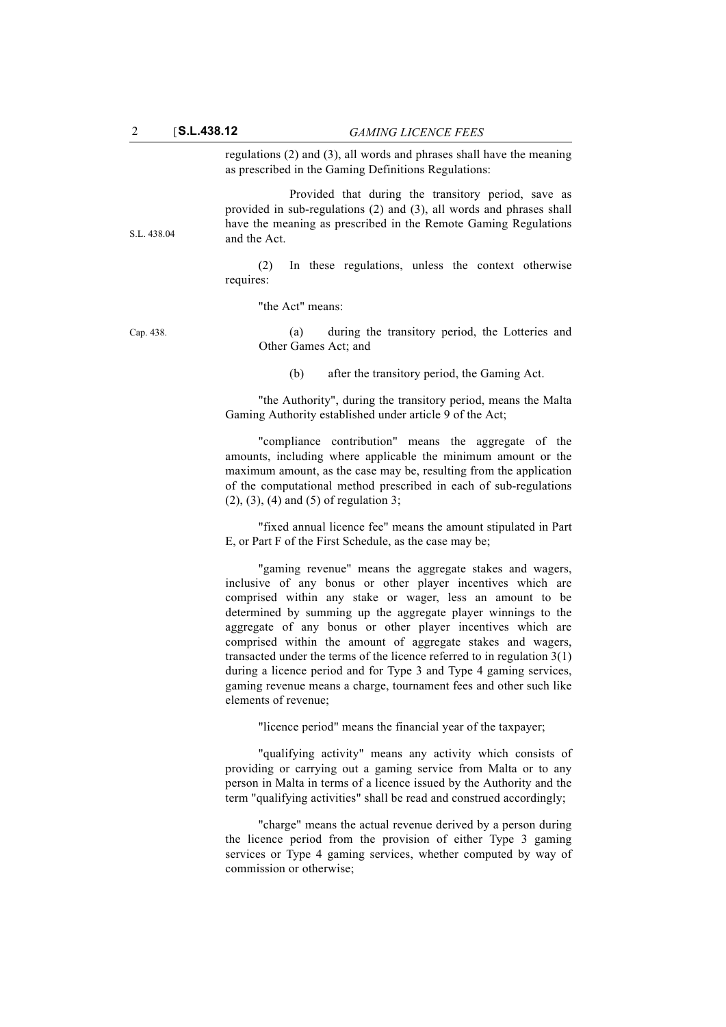regulations (2) and (3), all words and phrases shall have the meaning as prescribed in the Gaming Definitions Regulations:

Provided that during the transitory period, save as provided in sub-regulations (2) and (3), all words and phrases shall have the meaning as prescribed in the Remote Gaming Regulations and the Act.

(2) In these regulations, unless the context otherwise requires:

"the Act" means:

S.L. 438.04

Cap. 438. (a) during the transitory period, the Lotteries and Other Games Act; and

(b) after the transitory period, the Gaming Act.

"the Authority", during the transitory period, means the Malta Gaming Authority established under article 9 of the Act;

"compliance contribution" means the aggregate of the amounts, including where applicable the minimum amount or the maximum amount, as the case may be, resulting from the application of the computational method prescribed in each of sub-regulations (2), (3), (4) and (5) of regulation 3;

"fixed annual licence fee" means the amount stipulated in Part E, or Part F of the First Schedule, as the case may be;

"gaming revenue" means the aggregate stakes and wagers, inclusive of any bonus or other player incentives which are comprised within any stake or wager, less an amount to be determined by summing up the aggregate player winnings to the aggregate of any bonus or other player incentives which are comprised within the amount of aggregate stakes and wagers, transacted under the terms of the licence referred to in regulation 3(1) during a licence period and for Type 3 and Type 4 gaming services, gaming revenue means a charge, tournament fees and other such like elements of revenue;

"licence period" means the financial year of the taxpayer;

"qualifying activity" means any activity which consists of providing or carrying out a gaming service from Malta or to any person in Malta in terms of a licence issued by the Authority and the term "qualifying activities" shall be read and construed accordingly;

"charge" means the actual revenue derived by a person during the licence period from the provision of either Type 3 gaming services or Type 4 gaming services, whether computed by way of commission or otherwise;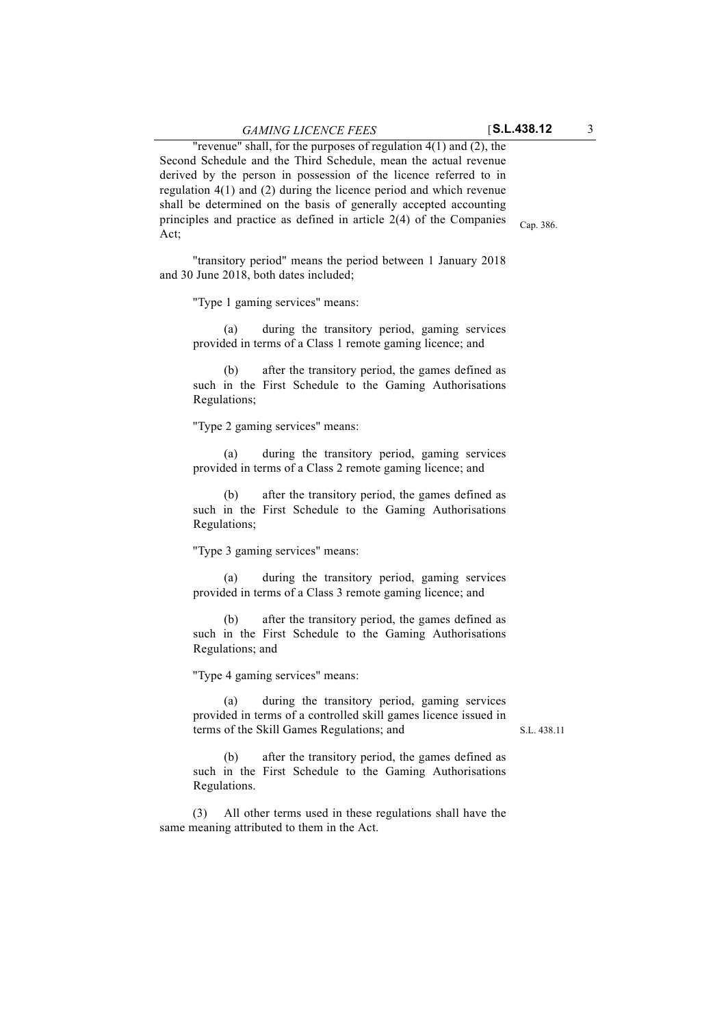Cap. 386.

"revenue" shall, for the purposes of regulation 4(1) and (2), the Second Schedule and the Third Schedule, mean the actual revenue derived by the person in possession of the licence referred to in regulation 4(1) and (2) during the licence period and which revenue shall be determined on the basis of generally accepted accounting principles and practice as defined in article 2(4) of the Companies Act;

"transitory period" means the period between 1 January 2018 and 30 June 2018, both dates included;

"Type 1 gaming services" means:

(a) during the transitory period, gaming services provided in terms of a Class 1 remote gaming licence; and

(b) after the transitory period, the games defined as such in the First Schedule to the Gaming Authorisations Regulations;

"Type 2 gaming services" means:

(a) during the transitory period, gaming services provided in terms of a Class 2 remote gaming licence; and

(b) after the transitory period, the games defined as such in the First Schedule to the Gaming Authorisations Regulations;

"Type 3 gaming services" means:

(a) during the transitory period, gaming services provided in terms of a Class 3 remote gaming licence; and

(b) after the transitory period, the games defined as such in the First Schedule to the Gaming Authorisations Regulations; and

"Type 4 gaming services" means:

(a) during the transitory period, gaming services provided in terms of a controlled skill games licence issued in terms of the Skill Games Regulations; and

S.L. 438.11

(b) after the transitory period, the games defined as such in the First Schedule to the Gaming Authorisations Regulations.

(3) All other terms used in these regulations shall have the same meaning attributed to them in the Act.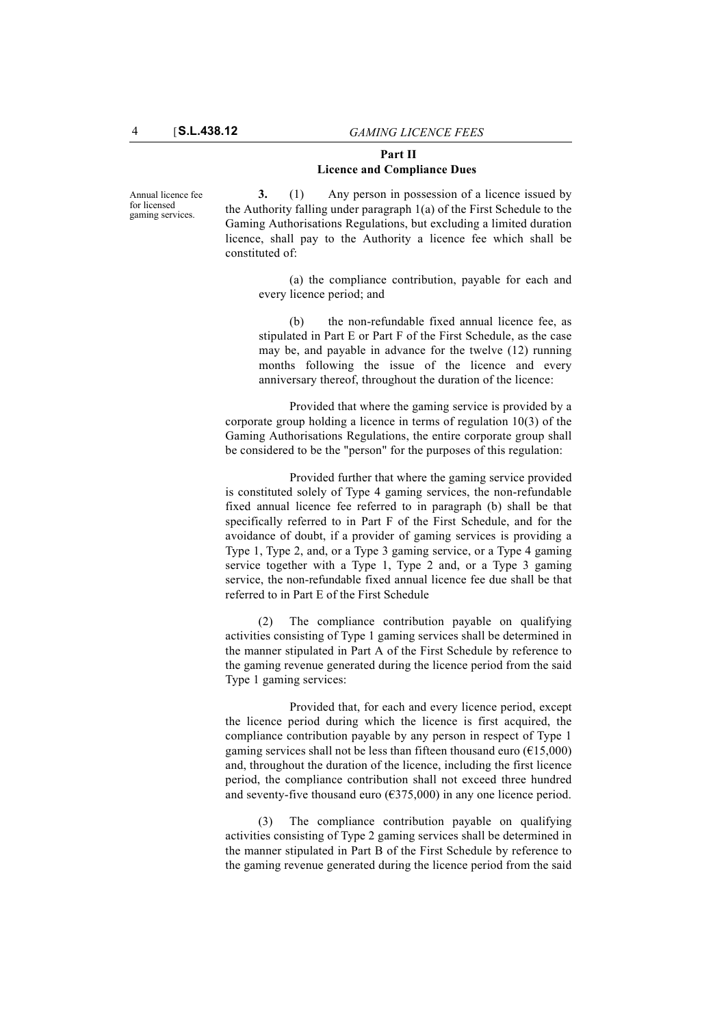#### **Part II Licence and Compliance Dues**

Annual licence fee for licensed gaming services.

**3.** (1) Any person in possession of a licence issued by the Authority falling under paragraph 1(a) of the First Schedule to the Gaming Authorisations Regulations, but excluding a limited duration licence, shall pay to the Authority a licence fee which shall be constituted of:

(a) the compliance contribution, payable for each and every licence period; and

(b) the non-refundable fixed annual licence fee, as stipulated in Part E or Part F of the First Schedule, as the case may be, and payable in advance for the twelve (12) running months following the issue of the licence and every anniversary thereof, throughout the duration of the licence:

Provided that where the gaming service is provided by a corporate group holding a licence in terms of regulation 10(3) of the Gaming Authorisations Regulations, the entire corporate group shall be considered to be the "person" for the purposes of this regulation:

Provided further that where the gaming service provided is constituted solely of Type 4 gaming services, the non-refundable fixed annual licence fee referred to in paragraph (b) shall be that specifically referred to in Part F of the First Schedule, and for the avoidance of doubt, if a provider of gaming services is providing a Type 1, Type 2, and, or a Type 3 gaming service, or a Type 4 gaming service together with a Type 1, Type 2 and, or a Type 3 gaming service, the non-refundable fixed annual licence fee due shall be that referred to in Part E of the First Schedule

(2) The compliance contribution payable on qualifying activities consisting of Type 1 gaming services shall be determined in the manner stipulated in Part A of the First Schedule by reference to the gaming revenue generated during the licence period from the said Type 1 gaming services:

Provided that, for each and every licence period, except the licence period during which the licence is first acquired, the compliance contribution payable by any person in respect of Type 1 gaming services shall not be less than fifteen thousand euro ( $\epsilon$ 15,000) and, throughout the duration of the licence, including the first licence period, the compliance contribution shall not exceed three hundred and seventy-five thousand euro ( $\epsilon$ 375,000) in any one licence period.

(3) The compliance contribution payable on qualifying activities consisting of Type 2 gaming services shall be determined in the manner stipulated in Part B of the First Schedule by reference to the gaming revenue generated during the licence period from the said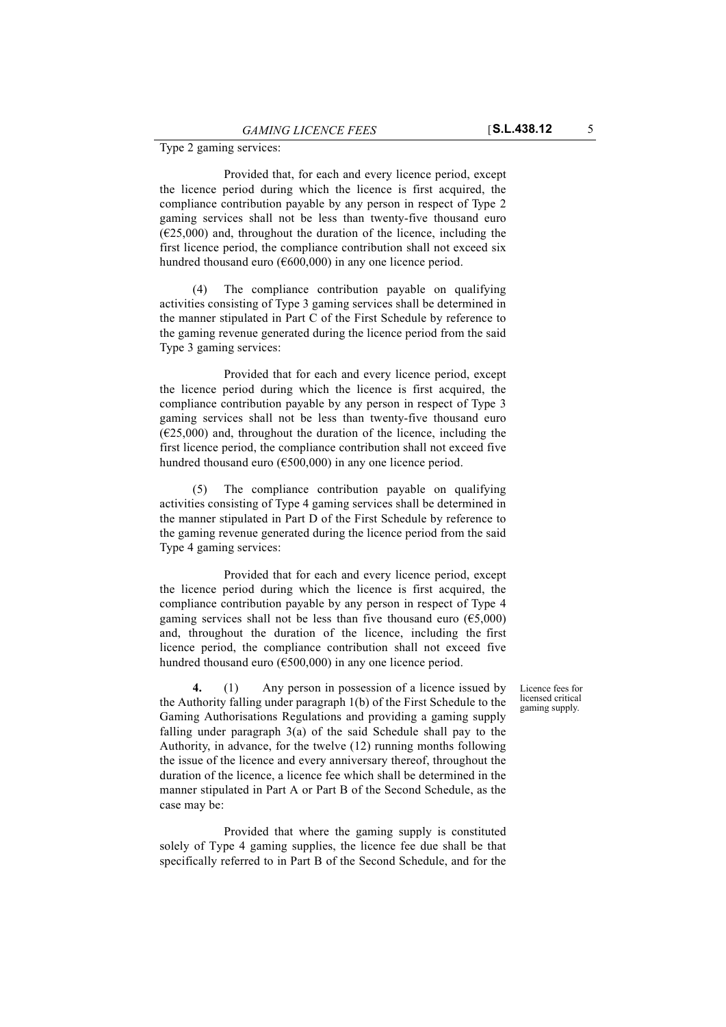Provided that, for each and every licence period, except the licence period during which the licence is first acquired, the compliance contribution payable by any person in respect of Type 2 gaming services shall not be less than twenty-five thousand euro  $(\text{\textsterling}25,000)$  and, throughout the duration of the licence, including the first licence period, the compliance contribution shall not exceed six hundred thousand euro ( $600,000$ ) in any one licence period.

(4) The compliance contribution payable on qualifying activities consisting of Type 3 gaming services shall be determined in the manner stipulated in Part C of the First Schedule by reference to the gaming revenue generated during the licence period from the said Type 3 gaming services:

Provided that for each and every licence period, except the licence period during which the licence is first acquired, the compliance contribution payable by any person in respect of Type 3 gaming services shall not be less than twenty-five thousand euro  $(625,000)$  and, throughout the duration of the licence, including the first licence period, the compliance contribution shall not exceed five hundred thousand euro (€500,000) in any one licence period.

(5) The compliance contribution payable on qualifying activities consisting of Type 4 gaming services shall be determined in the manner stipulated in Part D of the First Schedule by reference to the gaming revenue generated during the licence period from the said Type 4 gaming services:

Provided that for each and every licence period, except the licence period during which the licence is first acquired, the compliance contribution payable by any person in respect of Type 4 gaming services shall not be less than five thousand euro ( $\epsilon$ 5,000) and, throughout the duration of the licence, including the first licence period, the compliance contribution shall not exceed five hundred thousand euro (€500,000) in any one licence period.

> Licence fees for licensed critical gaming supply.

**4.** (1) Any person in possession of a licence issued by the Authority falling under paragraph 1(b) of the First Schedule to the Gaming Authorisations Regulations and providing a gaming supply falling under paragraph 3(a) of the said Schedule shall pay to the Authority, in advance, for the twelve (12) running months following the issue of the licence and every anniversary thereof, throughout the duration of the licence, a licence fee which shall be determined in the manner stipulated in Part A or Part B of the Second Schedule, as the case may be:

Provided that where the gaming supply is constituted solely of Type 4 gaming supplies, the licence fee due shall be that specifically referred to in Part B of the Second Schedule, and for the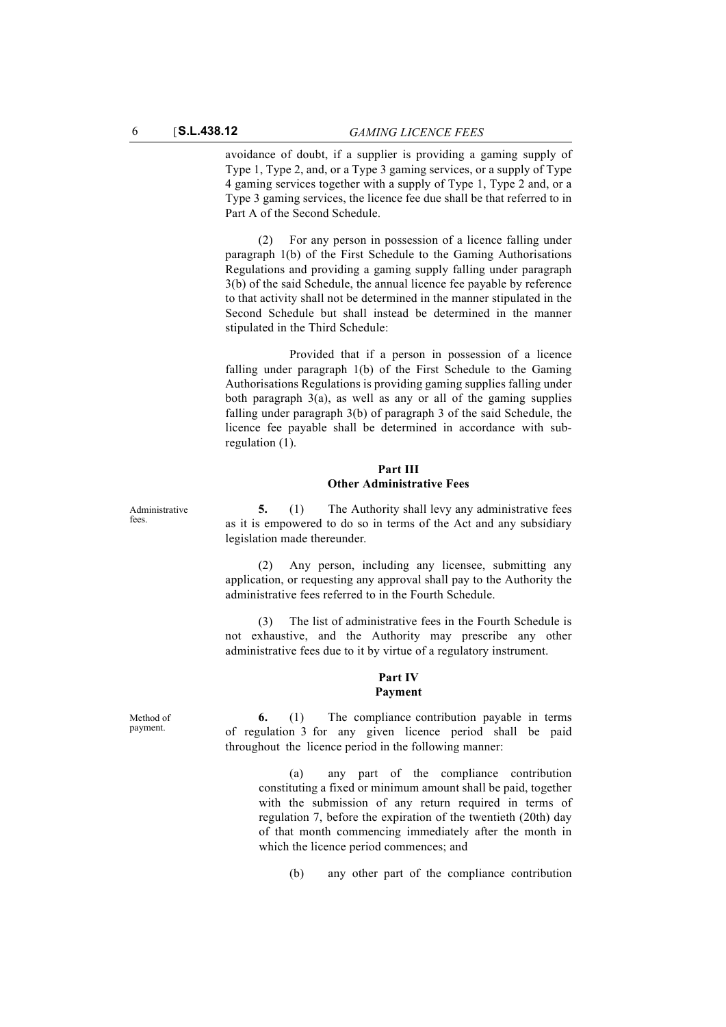avoidance of doubt, if a supplier is providing a gaming supply of Type 1, Type 2, and, or a Type 3 gaming services, or a supply of Type 4 gaming services together with a supply of Type 1, Type 2 and, or a Type 3 gaming services, the licence fee due shall be that referred to in Part A of the Second Schedule.

(2) For any person in possession of a licence falling under paragraph 1(b) of the First Schedule to the Gaming Authorisations Regulations and providing a gaming supply falling under paragraph 3(b) of the said Schedule, the annual licence fee payable by reference to that activity shall not be determined in the manner stipulated in the Second Schedule but shall instead be determined in the manner stipulated in the Third Schedule:

Provided that if a person in possession of a licence falling under paragraph 1(b) of the First Schedule to the Gaming Authorisations Regulations is providing gaming supplies falling under both paragraph 3(a), as well as any or all of the gaming supplies falling under paragraph 3(b) of paragraph 3 of the said Schedule, the licence fee payable shall be determined in accordance with subregulation (1).

#### **Part III Other Administrative Fees**

**5.** (1) The Authority shall levy any administrative fees as it is empowered to do so in terms of the Act and any subsidiary legislation made thereunder.

(2) Any person, including any licensee, submitting any application, or requesting any approval shall pay to the Authority the administrative fees referred to in the Fourth Schedule.

(3) The list of administrative fees in the Fourth Schedule is not exhaustive, and the Authority may prescribe any other administrative fees due to it by virtue of a regulatory instrument.

# **Part IV**

# **Payment**

**6.** (1) The compliance contribution payable in terms of regulation 3 for any given licence period shall be paid throughout the licence period in the following manner:

(a) any part of the compliance contribution constituting a fixed or minimum amount shall be paid, together with the submission of any return required in terms of regulation 7, before the expiration of the twentieth (20th) day of that month commencing immediately after the month in which the licence period commences; and

(b) any other part of the compliance contribution

Administrative fees

Method of payment.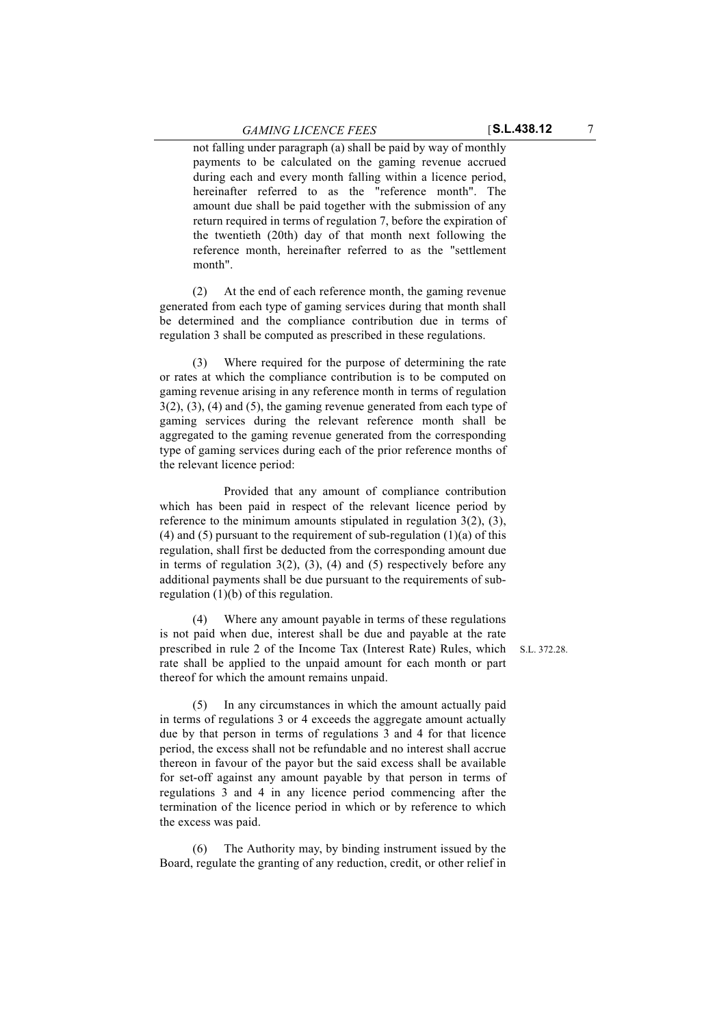not falling under paragraph (a) shall be paid by way of monthly payments to be calculated on the gaming revenue accrued during each and every month falling within a licence period, hereinafter referred to as the "reference month". The amount due shall be paid together with the submission of any return required in terms of regulation 7, before the expiration of the twentieth (20th) day of that month next following the reference month, hereinafter referred to as the "settlement month".

(2) At the end of each reference month, the gaming revenue generated from each type of gaming services during that month shall be determined and the compliance contribution due in terms of regulation 3 shall be computed as prescribed in these regulations.

(3) Where required for the purpose of determining the rate or rates at which the compliance contribution is to be computed on gaming revenue arising in any reference month in terms of regulation 3(2), (3), (4) and (5), the gaming revenue generated from each type of gaming services during the relevant reference month shall be aggregated to the gaming revenue generated from the corresponding type of gaming services during each of the prior reference months of the relevant licence period:

Provided that any amount of compliance contribution which has been paid in respect of the relevant licence period by reference to the minimum amounts stipulated in regulation 3(2), (3), (4) and (5) pursuant to the requirement of sub-regulation  $(1)(a)$  of this regulation, shall first be deducted from the corresponding amount due in terms of regulation  $3(2)$ ,  $(3)$ ,  $(4)$  and  $(5)$  respectively before any additional payments shall be due pursuant to the requirements of subregulation (1)(b) of this regulation.

(4) Where any amount payable in terms of these regulations is not paid when due, interest shall be due and payable at the rate prescribed in rule 2 of the Income Tax (Interest Rate) Rules, which rate shall be applied to the unpaid amount for each month or part thereof for which the amount remains unpaid.

(5) In any circumstances in which the amount actually paid in terms of regulations 3 or 4 exceeds the aggregate amount actually due by that person in terms of regulations 3 and 4 for that licence period, the excess shall not be refundable and no interest shall accrue thereon in favour of the payor but the said excess shall be available for set-off against any amount payable by that person in terms of regulations 3 and 4 in any licence period commencing after the termination of the licence period in which or by reference to which the excess was paid.

The Authority may, by binding instrument issued by the Board, regulate the granting of any reduction, credit, or other relief in S.L. 372.28.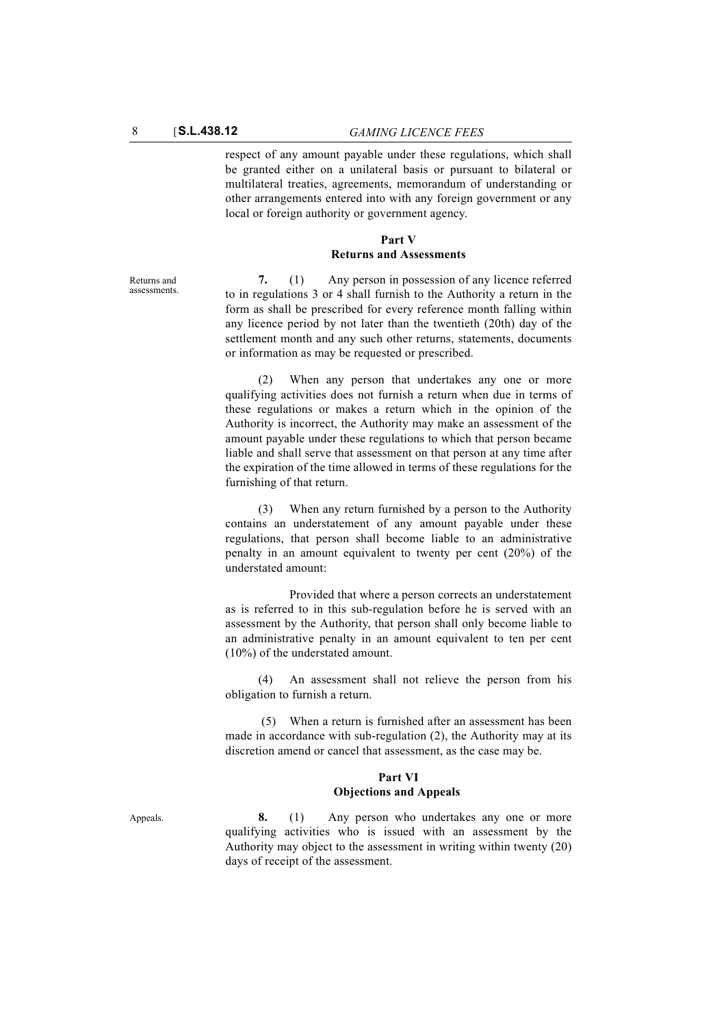respect of any amount payable under these regulations, which shall be granted either on a unilateral basis or pursuant to bilateral or multilateral treaties, agreements, memorandum of understanding or other arrangements entered into with any foreign government or any local or foreign authority or government agency.

#### **Part V Returns and Assessments**

Returns and assessments.

**7.** (1) Any person in possession of any licence referred to in regulations 3 or 4 shall furnish to the Authority a return in the form as shall be prescribed for every reference month falling within any licence period by not later than the twentieth (20th) day of the settlement month and any such other returns, statements, documents or information as may be requested or prescribed.

(2) When any person that undertakes any one or more qualifying activities does not furnish a return when due in terms of these regulations or makes a return which in the opinion of the Authority is incorrect, the Authority may make an assessment of the amount payable under these regulations to which that person became liable and shall serve that assessment on that person at any time after the expiration of the time allowed in terms of these regulations for the furnishing of that return.

(3) When any return furnished by a person to the Authority contains an understatement of any amount payable under these regulations, that person shall become liable to an administrative penalty in an amount equivalent to twenty per cent (20%) of the understated amount:

Provided that where a person corrects an understatement as is referred to in this sub-regulation before he is served with an assessment by the Authority, that person shall only become liable to an administrative penalty in an amount equivalent to ten per cent (10%) of the understated amount.

(4) An assessment shall not relieve the person from his obligation to furnish a return.

 (5) When a return is furnished after an assessment has been made in accordance with sub-regulation (2), the Authority may at its discretion amend or cancel that assessment, as the case may be.

#### **Part VI Objections and Appeals**

Appeals. **8.** (1) Any person who undertakes any one or more qualifying activities who is issued with an assessment by the Authority may object to the assessment in writing within twenty (20) days of receipt of the assessment.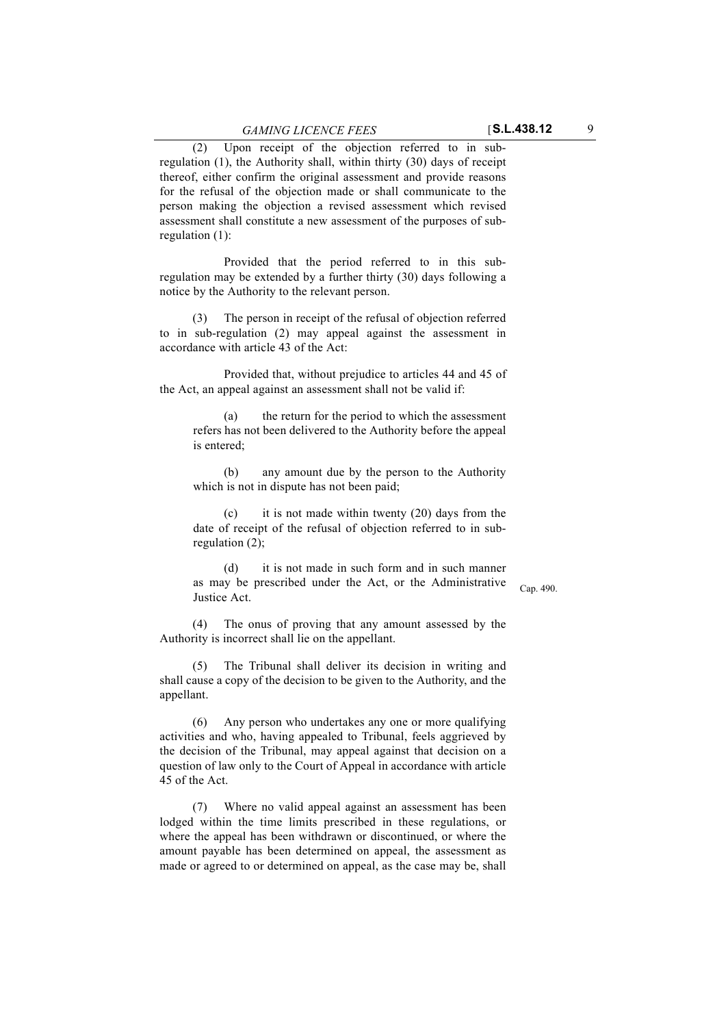(2) Upon receipt of the objection referred to in subregulation (1), the Authority shall, within thirty (30) days of receipt thereof, either confirm the original assessment and provide reasons for the refusal of the objection made or shall communicate to the person making the objection a revised assessment which revised assessment shall constitute a new assessment of the purposes of subregulation (1):

Provided that the period referred to in this subregulation may be extended by a further thirty (30) days following a notice by the Authority to the relevant person.

(3) The person in receipt of the refusal of objection referred to in sub-regulation (2) may appeal against the assessment in accordance with article 43 of the Act:

Provided that, without prejudice to articles 44 and 45 of the Act, an appeal against an assessment shall not be valid if:

(a) the return for the period to which the assessment refers has not been delivered to the Authority before the appeal is entered;

(b) any amount due by the person to the Authority which is not in dispute has not been paid;

(c) it is not made within twenty (20) days from the date of receipt of the refusal of objection referred to in subregulation (2);

(d) it is not made in such form and in such manner as may be prescribed under the Act, or the Administrative Justice Act.

Cap. 490.

(4) The onus of proving that any amount assessed by the Authority is incorrect shall lie on the appellant.

(5) The Tribunal shall deliver its decision in writing and shall cause a copy of the decision to be given to the Authority, and the appellant.

(6) Any person who undertakes any one or more qualifying activities and who, having appealed to Tribunal, feels aggrieved by the decision of the Tribunal, may appeal against that decision on a question of law only to the Court of Appeal in accordance with article 45 of the Act.

(7) Where no valid appeal against an assessment has been lodged within the time limits prescribed in these regulations, or where the appeal has been withdrawn or discontinued, or where the amount payable has been determined on appeal, the assessment as made or agreed to or determined on appeal, as the case may be, shall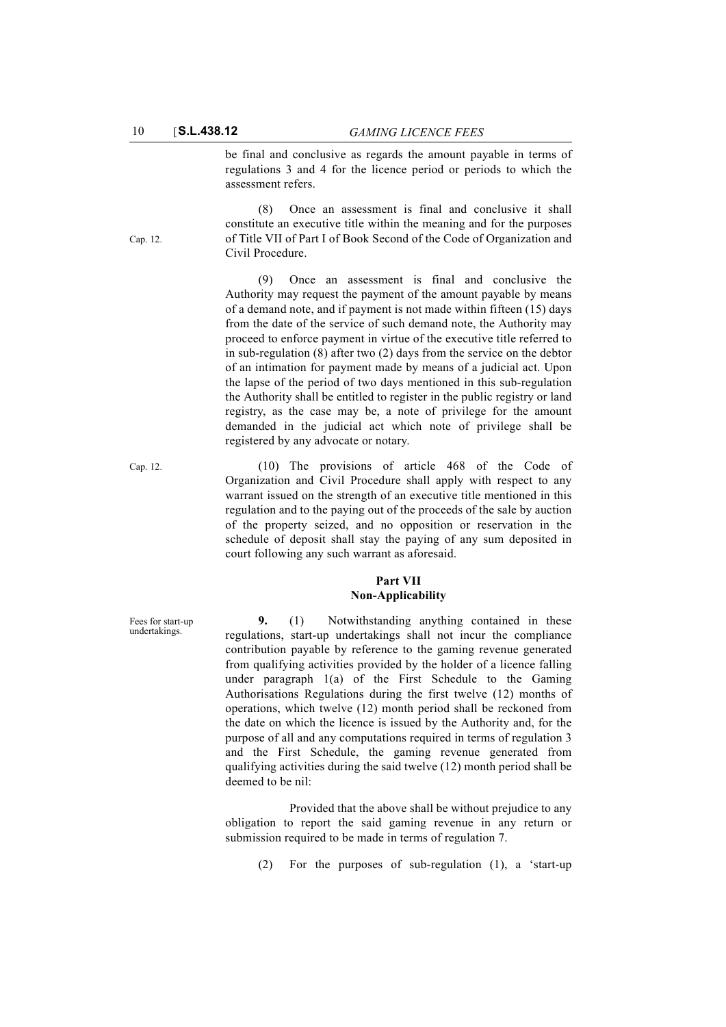be final and conclusive as regards the amount payable in terms of regulations 3 and 4 for the licence period or periods to which the assessment refers.

(8) Once an assessment is final and conclusive it shall constitute an executive title within the meaning and for the purposes of Title VII of Part I of Book Second of the Code of Organization and Civil Procedure.

(9) Once an assessment is final and conclusive the Authority may request the payment of the amount payable by means of a demand note, and if payment is not made within fifteen (15) days from the date of the service of such demand note, the Authority may proceed to enforce payment in virtue of the executive title referred to in sub-regulation (8) after two (2) days from the service on the debtor of an intimation for payment made by means of a judicial act. Upon the lapse of the period of two days mentioned in this sub-regulation the Authority shall be entitled to register in the public registry or land registry, as the case may be, a note of privilege for the amount demanded in the judicial act which note of privilege shall be registered by any advocate or notary.

Cap. 12. (10) The provisions of article 468 of the Code of Organization and Civil Procedure shall apply with respect to any warrant issued on the strength of an executive title mentioned in this regulation and to the paying out of the proceeds of the sale by auction of the property seized, and no opposition or reservation in the schedule of deposit shall stay the paying of any sum deposited in court following any such warrant as aforesaid.

### **Part VII Non-Applicability**

**9.** (1) Notwithstanding anything contained in these regulations, start-up undertakings shall not incur the compliance contribution payable by reference to the gaming revenue generated from qualifying activities provided by the holder of a licence falling under paragraph 1(a) of the First Schedule to the Gaming Authorisations Regulations during the first twelve (12) months of operations, which twelve (12) month period shall be reckoned from the date on which the licence is issued by the Authority and, for the purpose of all and any computations required in terms of regulation 3 and the First Schedule, the gaming revenue generated from qualifying activities during the said twelve (12) month period shall be deemed to be nil:

Provided that the above shall be without prejudice to any obligation to report the said gaming revenue in any return or submission required to be made in terms of regulation 7.

(2) For the purposes of sub-regulation (1), a 'start-up

Cap. 12.

Fees for start-up undertakings.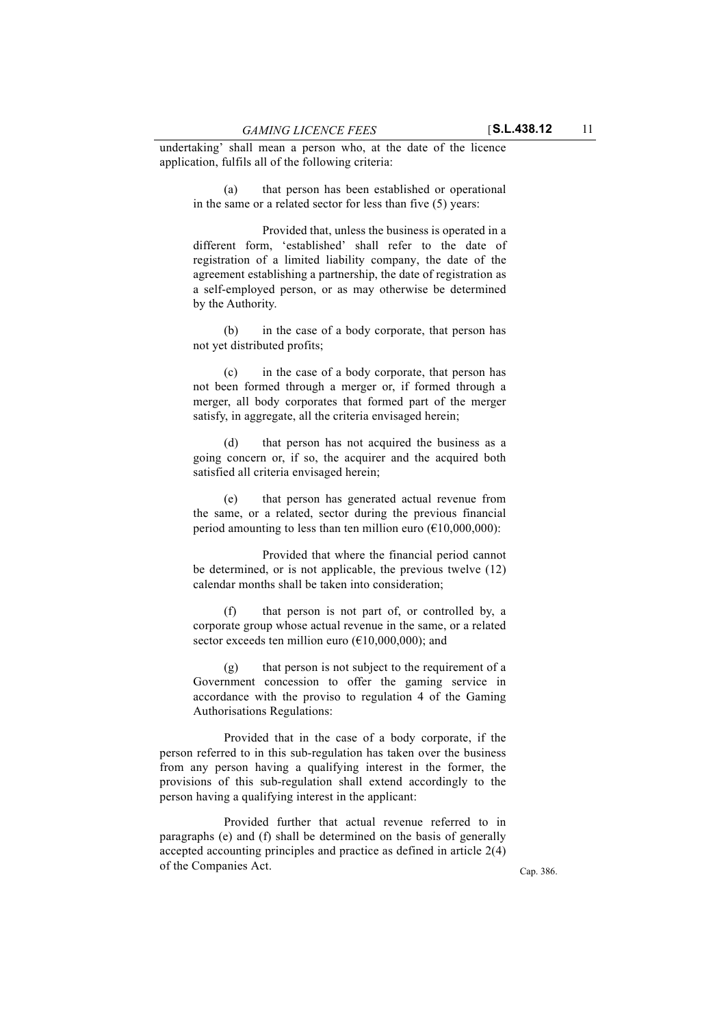undertaking' shall mean a person who, at the date of the licence application, fulfils all of the following criteria:

(a) that person has been established or operational in the same or a related sector for less than five (5) years:

Provided that, unless the business is operated in a different form, 'established' shall refer to the date of registration of a limited liability company, the date of the agreement establishing a partnership, the date of registration as a self-employed person, or as may otherwise be determined by the Authority.

(b) in the case of a body corporate, that person has not yet distributed profits;

(c) in the case of a body corporate, that person has not been formed through a merger or, if formed through a merger, all body corporates that formed part of the merger satisfy, in aggregate, all the criteria envisaged herein;

(d) that person has not acquired the business as a going concern or, if so, the acquirer and the acquired both satisfied all criteria envisaged herein;

(e) that person has generated actual revenue from the same, or a related, sector during the previous financial period amounting to less than ten million euro  $(\text{\textsterling}10,000,000)$ :

Provided that where the financial period cannot be determined, or is not applicable, the previous twelve (12) calendar months shall be taken into consideration;

(f) that person is not part of, or controlled by, a corporate group whose actual revenue in the same, or a related sector exceeds ten million euro ( $E10,000,000$ ); and

 $(g)$  that person is not subject to the requirement of a Government concession to offer the gaming service in accordance with the proviso to regulation 4 of the Gaming Authorisations Regulations:

Provided that in the case of a body corporate, if the person referred to in this sub-regulation has taken over the business from any person having a qualifying interest in the former, the provisions of this sub-regulation shall extend accordingly to the person having a qualifying interest in the applicant:

Provided further that actual revenue referred to in paragraphs (e) and (f) shall be determined on the basis of generally accepted accounting principles and practice as defined in article 2(4) of the Companies Act.

Cap. 386.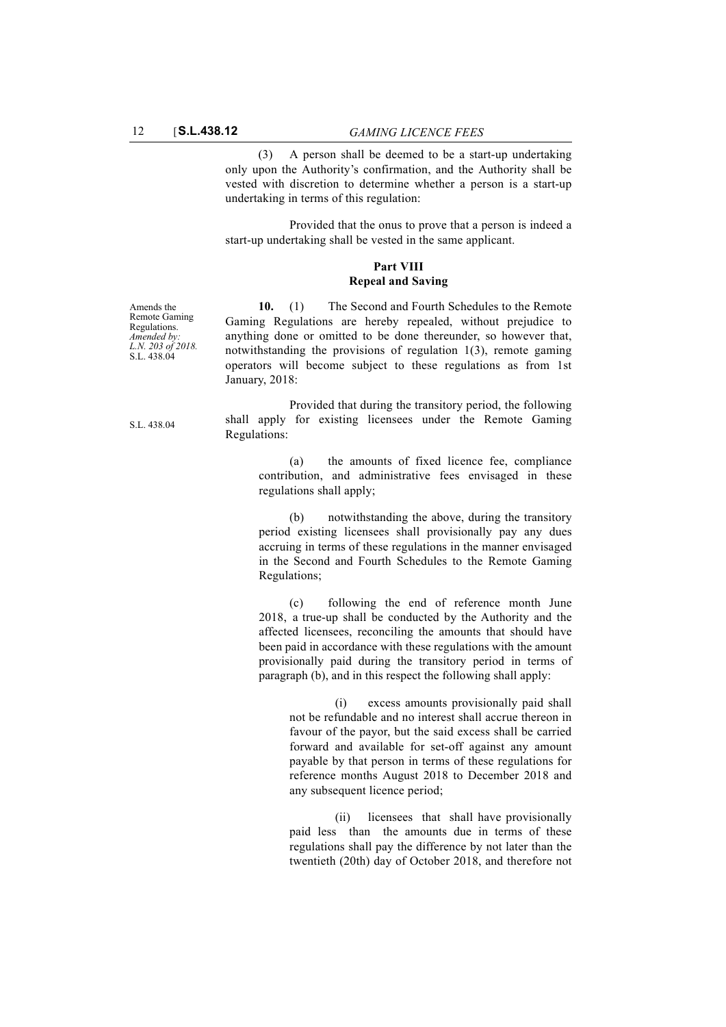(3) A person shall be deemed to be a start-up undertaking only upon the Authority's confirmation, and the Authority shall be vested with discretion to determine whether a person is a start-up undertaking in terms of this regulation:

Provided that the onus to prove that a person is indeed a start-up undertaking shall be vested in the same applicant.

#### **Part VIII Repeal and Saving**

Amends the Remote Gaming Regulations. *Amended by: L.N. 203 of 2018.* S.L. 438.04

**10.** (1) The Second and Fourth Schedules to the Remote Gaming Regulations are hereby repealed, without prejudice to anything done or omitted to be done thereunder, so however that, notwithstanding the provisions of regulation 1(3), remote gaming operators will become subject to these regulations as from 1st January, 2018:

Provided that during the transitory period, the following shall apply for existing licensees under the Remote Gaming Regulations:

(a) the amounts of fixed licence fee, compliance contribution, and administrative fees envisaged in these regulations shall apply;

(b) notwithstanding the above, during the transitory period existing licensees shall provisionally pay any dues accruing in terms of these regulations in the manner envisaged in the Second and Fourth Schedules to the Remote Gaming Regulations;

(c) following the end of reference month June 2018, a true-up shall be conducted by the Authority and the affected licensees, reconciling the amounts that should have been paid in accordance with these regulations with the amount provisionally paid during the transitory period in terms of paragraph (b), and in this respect the following shall apply:

(i) excess amounts provisionally paid shall not be refundable and no interest shall accrue thereon in favour of the payor, but the said excess shall be carried forward and available for set-off against any amount payable by that person in terms of these regulations for reference months August 2018 to December 2018 and any subsequent licence period;

(ii) licensees that shall have provisionally paid less than the amounts due in terms of these regulations shall pay the difference by not later than the twentieth (20th) day of October 2018, and therefore not

S.L. 438.04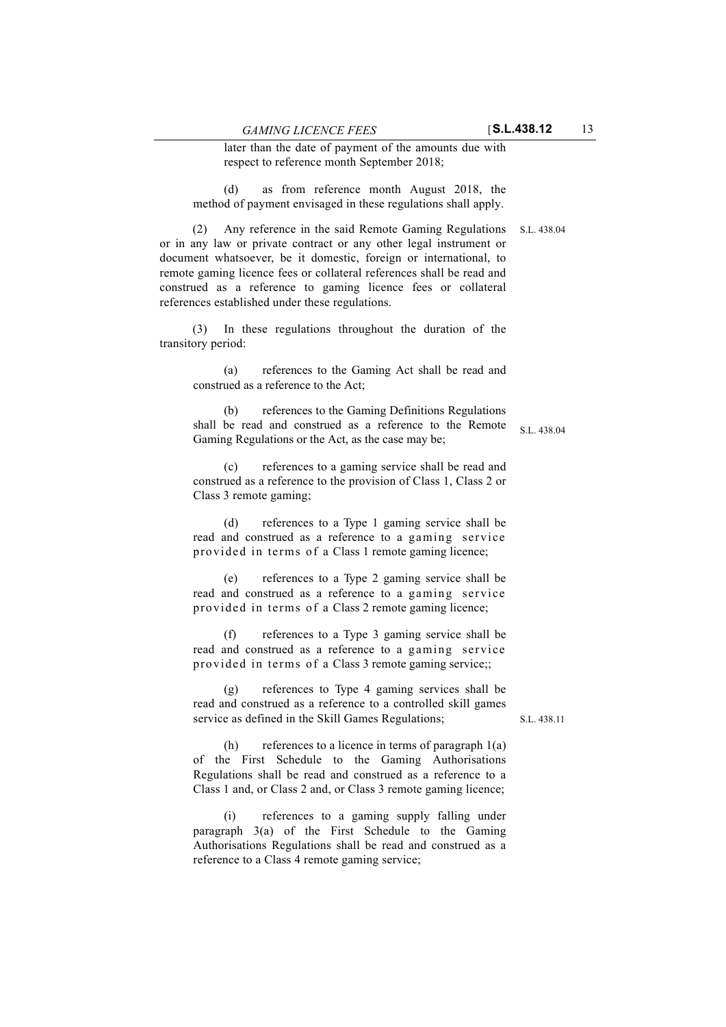later than the date of payment of the amounts due with respect to reference month September 2018;

(d) as from reference month August 2018, the method of payment envisaged in these regulations shall apply.

(2) Any reference in the said Remote Gaming Regulations S.L. 438.04 or in any law or private contract or any other legal instrument or document whatsoever, be it domestic, foreign or international, to remote gaming licence fees or collateral references shall be read and construed as a reference to gaming licence fees or collateral references established under these regulations.

(3) In these regulations throughout the duration of the transitory period:

(a) references to the Gaming Act shall be read and construed as a reference to the Act;

(b) references to the Gaming Definitions Regulations shall be read and construed as a reference to the Remote Gaming Regulations or the Act, as the case may be;

(c) references to a gaming service shall be read and construed as a reference to the provision of Class 1, Class 2 or Class 3 remote gaming;

(d) references to a Type 1 gaming service shall be read and construed as a reference to a gaming service provided in terms of a Class 1 remote gaming licence;

(e) references to a Type 2 gaming service shall be read and construed as a reference to a gaming service provided in terms of a Class 2 remote gaming licence;

(f) references to a Type 3 gaming service shall be read and construed as a reference to a gaming service provided in terms of a Class 3 remote gaming service;;

(g) references to Type 4 gaming services shall be read and construed as a reference to a controlled skill games service as defined in the Skill Games Regulations;

S.L. 438.11

(h) references to a licence in terms of paragraph  $1(a)$ of the First Schedule to the Gaming Authorisations Regulations shall be read and construed as a reference to a Class 1 and, or Class 2 and, or Class 3 remote gaming licence;

(i) references to a gaming supply falling under paragraph 3(a) of the First Schedule to the Gaming Authorisations Regulations shall be read and construed as a reference to a Class 4 remote gaming service;

S.L. 438.04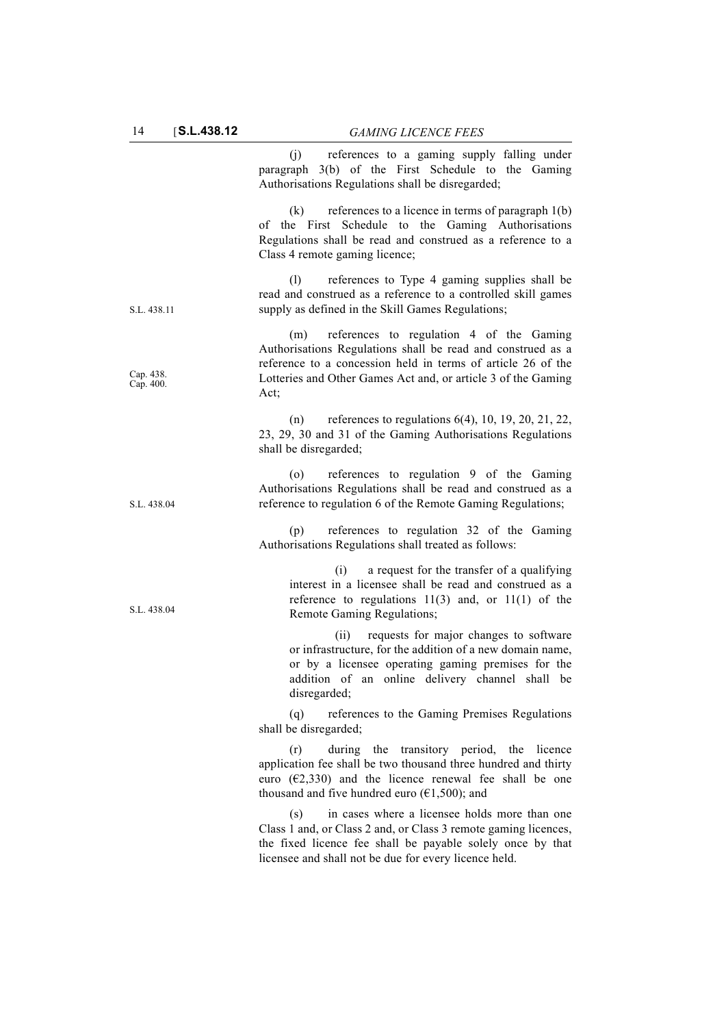|                        | (j) references to a gaming supply falling under<br>paragraph 3(b) of the First Schedule to the Gaming<br>Authorisations Regulations shall be disregarded;                                                                                               |
|------------------------|---------------------------------------------------------------------------------------------------------------------------------------------------------------------------------------------------------------------------------------------------------|
|                        | references to a licence in terms of paragraph $l(b)$<br>(k)<br>of the First Schedule to the Gaming Authorisations<br>Regulations shall be read and construed as a reference to a<br>Class 4 remote gaming licence;                                      |
| S.L. 438.11            | references to Type 4 gaming supplies shall be<br>(1)<br>read and construed as a reference to a controlled skill games<br>supply as defined in the Skill Games Regulations;                                                                              |
| Cap. 438.<br>Cap. 400. | references to regulation 4 of the Gaming<br>(m)<br>Authorisations Regulations shall be read and construed as a<br>reference to a concession held in terms of article 26 of the<br>Lotteries and Other Games Act and, or article 3 of the Gaming<br>Act; |
|                        | (n) references to regulations $6(4)$ , 10, 19, 20, 21, 22,<br>23, 29, 30 and 31 of the Gaming Authorisations Regulations<br>shall be disregarded;                                                                                                       |
| S.L. 438.04            | references to regulation 9 of the Gaming<br>(0)<br>Authorisations Regulations shall be read and construed as a<br>reference to regulation 6 of the Remote Gaming Regulations;                                                                           |
|                        | references to regulation 32 of the Gaming<br>(p)<br>Authorisations Regulations shall treated as follows:                                                                                                                                                |
| S.L. 438.04            | a request for the transfer of a qualifying<br>(i)<br>interest in a licensee shall be read and construed as a<br>reference to regulations $11(3)$ and, or $11(1)$ of the<br>Remote Gaming Regulations;                                                   |
|                        | requests for major changes to software<br>(ii)<br>or infrastructure, for the addition of a new domain name,<br>or by a licensee operating gaming premises for the<br>addition of an online delivery channel shall be<br>disregarded;                    |
|                        | (q)<br>references to the Gaming Premises Regulations<br>shall be disregarded;                                                                                                                                                                           |
|                        | during the transitory period, the licence<br>(r)<br>application fee shall be two thousand three hundred and thirty<br>euro ( $E$ 2,330) and the licence renewal fee shall be one<br>thousand and five hundred euro ( $€1,500$ ); and                    |
|                        | in cases where a licensee holds more than one<br>(s)<br>Class 1 and, or Class 2 and, or Class 3 remote gaming licences,<br>the fixed licence fee shall be payable solely once by that<br>licensee and shall not be due for every licence held.          |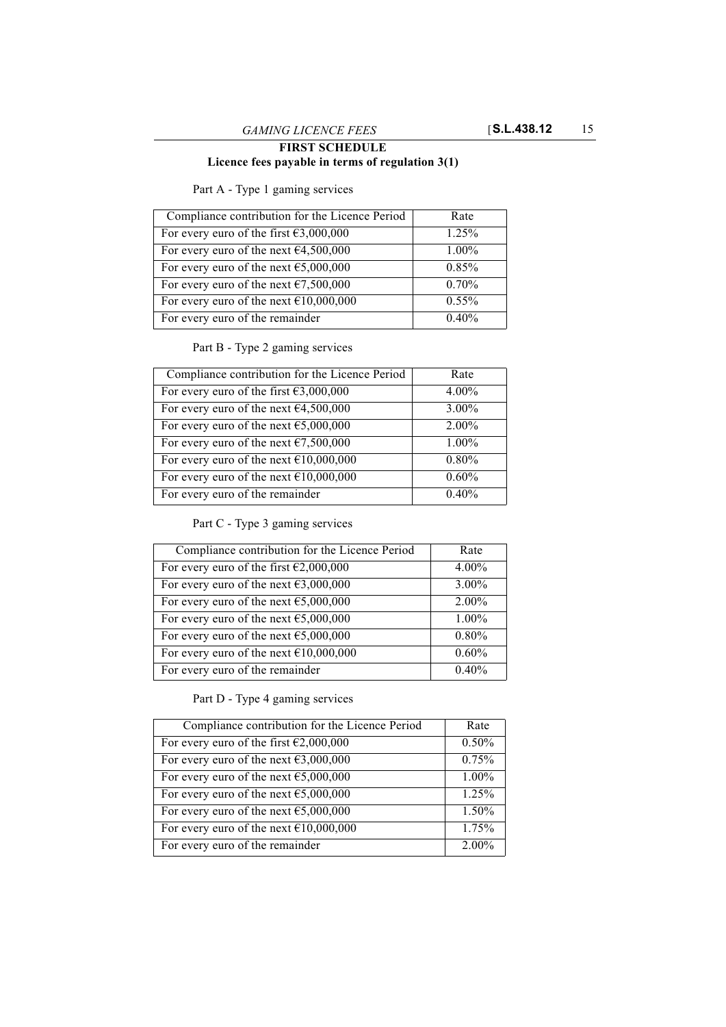# **FIRST SCHEDULE Licence fees payable in terms of regulation 3(1)**

Part A - Type 1 gaming services

| Compliance contribution for the Licence Period              | Rate     |
|-------------------------------------------------------------|----------|
| For every euro of the first $\text{\textsterling}3,000,000$ | 1.25%    |
| For every euro of the next $64,500,000$                     | 1.00%    |
| For every euro of the next $\epsilon$ 5,000,000             | 0.85%    |
| For every euro of the next $\epsilon$ 7,500,000             | 0.70%    |
| For every euro of the next $£10,000,000$                    | $0.55\%$ |
| For every euro of the remainder                             | 0.40%    |

# Part B - Type 2 gaming services

| Compliance contribution for the Licence Period              | Rate     |
|-------------------------------------------------------------|----------|
| For every euro of the first $63,000,000$                    | 4.00%    |
| For every euro of the next $\epsilon$ 4,500,000             | 3.00%    |
| For every euro of the next $65,000,000$                     | 2.00%    |
| For every euro of the next $\epsilon$ 7,500,000             | 1.00%    |
| For every euro of the next $\text{\textsterling}10,000,000$ | 0.80%    |
| For every euro of the next $\text{\textsterling}10,000,000$ | $0.60\%$ |
| For every euro of the remainder                             | 0.40%    |

Part C - Type 3 gaming services

| Compliance contribution for the Licence Period             | Rate     |
|------------------------------------------------------------|----------|
| For every euro of the first $\epsilon$ 2,000,000           | 4.00%    |
| For every euro of the next $\epsilon$ 3,000,000            | $3.00\%$ |
| For every euro of the next $65,000,000$                    | 2.00%    |
| For every euro of the next $65,000,000$                    | 1.00%    |
| For every euro of the next $\text{\textsterling}5,000,000$ | 0.80%    |
| For every euro of the next $£10,000,000$                   | $0.60\%$ |
| For every euro of the remainder                            | 0.40%    |

Part D - Type 4 gaming services

| Compliance contribution for the Licence Period             | Rate  |
|------------------------------------------------------------|-------|
| For every euro of the first $\epsilon$ 2,000,000           | 0.50% |
| For every euro of the next $\epsilon$ 3,000,000            | 0.75% |
| For every euro of the next $\text{\textsterling}5,000,000$ | 1.00% |
| For every euro of the next $65,000,000$                    | 1.25% |
| For every euro of the next $65,000,000$                    | 1.50% |
| For every euro of the next $£10,000,000$                   | 1.75% |
| For every euro of the remainder                            | 2.00% |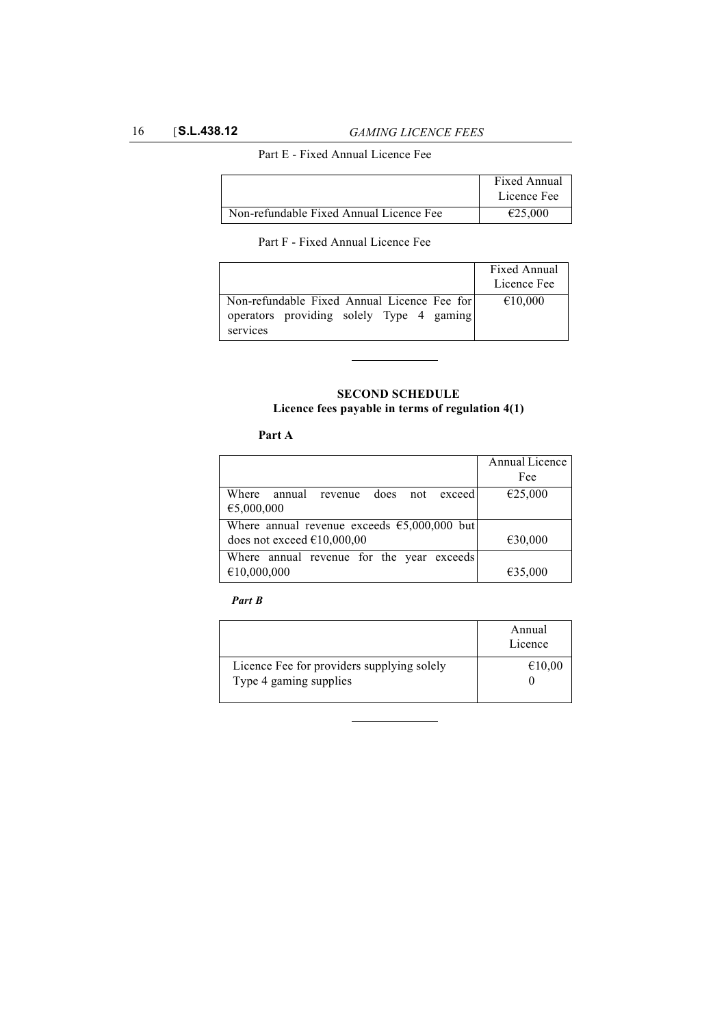## Part E - Fixed Annual Licence Fee

|                                         | Fixed Annual |
|-----------------------------------------|--------------|
|                                         | Licence Fee  |
| Non-refundable Fixed Annual Licence Fee | €25,000      |

Part F - Fixed Annual Licence Fee

|                                                      | Fixed Annual |
|------------------------------------------------------|--------------|
|                                                      | Licence Fee  |
| Non-refundable Fixed Annual Licence Fee for          | €10,000      |
| operators providing solely Type 4 gaming<br>services |              |

# **SECOND SCHEDULE Licence fees payable in terms of regulation 4(1)**

# **Part A**

|                                               | Annual Licence |
|-----------------------------------------------|----------------|
|                                               | Fee            |
| Where annual revenue does not<br>exceed       | €25,000        |
| €5,000,000                                    |                |
| Where annual revenue exceeds $65,000,000$ but |                |
| does not exceed $£10,000,00$                  | €30,000        |
| Where annual revenue for the year exceeds     |                |
| €10,000,000                                   | €35,000        |

### *Part B*

|                                                                      | Annual<br>Licence |
|----------------------------------------------------------------------|-------------------|
| Licence Fee for providers supplying solely<br>Type 4 gaming supplies | €10,00            |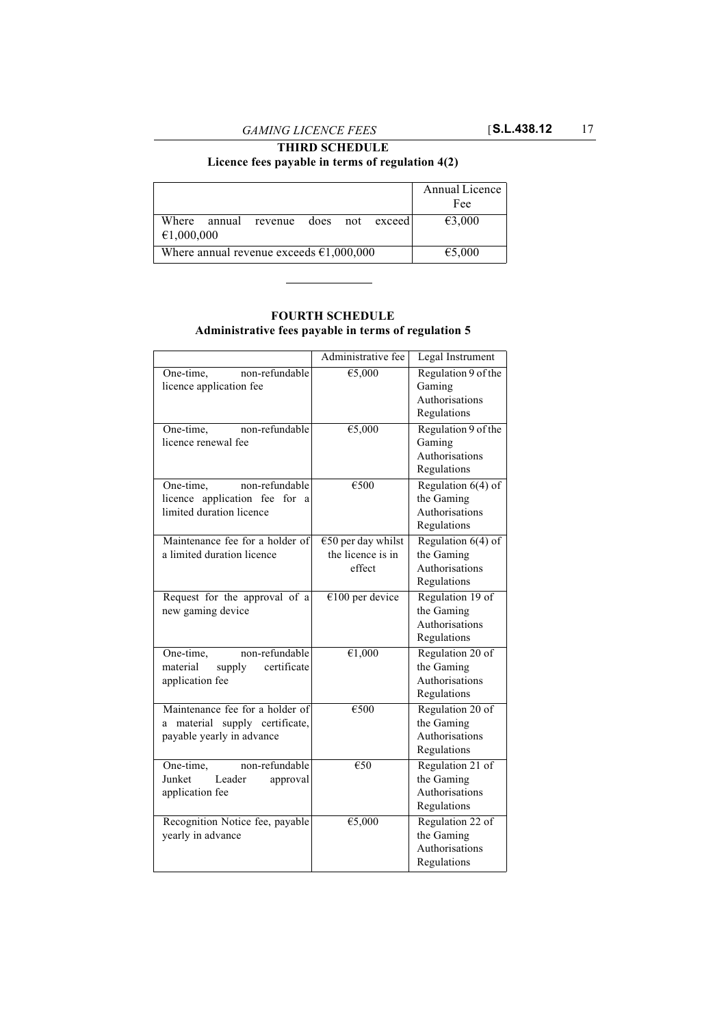# **THIRD SCHEDULE Licence fees payable in terms of regulation 4(2)**

|                                                   |  |                                      |        |  | Annual Licence |
|---------------------------------------------------|--|--------------------------------------|--------|--|----------------|
|                                                   |  |                                      |        |  | Fee            |
|                                                   |  | Where annual revenue does not exceed |        |  | €3,000         |
| €1,000,000                                        |  |                                      |        |  |                |
| Where annual revenue exceeds $\epsilon$ 1,000,000 |  |                                      | €5,000 |  |                |

# **FOURTH SCHEDULE**

**Administrative fees payable in terms of regulation 5**

|                                                                                                   | Administrative fee                                  | Legal Instrument                                                    |
|---------------------------------------------------------------------------------------------------|-----------------------------------------------------|---------------------------------------------------------------------|
| non-refundable<br>One-time,<br>licence application fee                                            | €5,000                                              | Regulation 9 of the<br>Gaming<br>Authorisations<br>Regulations      |
| non-refundable<br>One-time,<br>licence renewal fee                                                | $\overline{\epsilon}$ 5,000                         | Regulation 9 of the<br>Gaming<br>Authorisations<br>Regulations      |
| non-refundable<br>One-time,<br>licence application fee<br>for<br>a<br>limited duration licence    | €500                                                | Regulation $6(4)$ of<br>the Gaming<br>Authorisations<br>Regulations |
| Maintenance fee for a holder of<br>a limited duration licence                                     | $€50$ per day whilst<br>the licence is in<br>effect | Regulation $6(4)$ of<br>the Gaming<br>Authorisations<br>Regulations |
| Request for the approval of a<br>new gaming device                                                | $€100$ per device                                   | Regulation 19 of<br>the Gaming<br>Authorisations<br>Regulations     |
| non-refundable<br>One-time,<br>certificate<br>supply<br>material<br>application fee               | $\overline{\epsilon 1,000}$                         | Regulation 20 of<br>the Gaming<br>Authorisations<br>Regulations     |
| Maintenance fee for a holder of<br>material supply certificate,<br>a<br>payable yearly in advance | €500                                                | Regulation 20 of<br>the Gaming<br>Authorisations<br>Regulations     |
| non-refundable<br>One-time,<br>Leader<br>Junket<br>approval<br>application fee                    | €50                                                 | Regulation 21 of<br>the Gaming<br>Authorisations<br>Regulations     |
| Recognition Notice fee, payable<br>yearly in advance                                              | €5,000                                              | Regulation 22 of<br>the Gaming<br>Authorisations<br>Regulations     |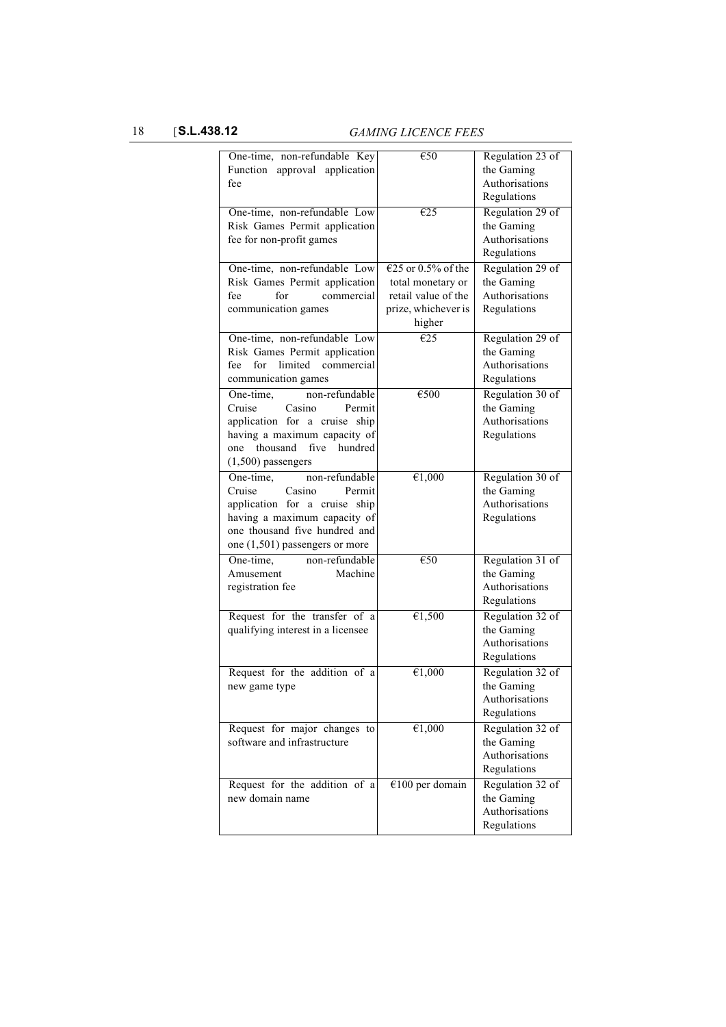18 [**S.L.438.12** *GAMING LICENCE FEES* 

| One-time, non-refundable Key       | €50                 | Regulation 23 of |
|------------------------------------|---------------------|------------------|
| Function approval application      |                     | the Gaming       |
| fee                                |                     | Authorisations   |
|                                    |                     | Regulations      |
| One-time, non-refundable Low       | E25                 | Regulation 29 of |
| Risk Games Permit application      |                     | the Gaming       |
| fee for non-profit games           |                     | Authorisations   |
|                                    |                     | Regulations      |
| One-time, non-refundable Low       | €25 or 0.5% of the  | Regulation 29 of |
| Risk Games Permit application      | total monetary or   | the Gaming       |
| for<br>fee<br>commercial           | retail value of the | Authorisations   |
| communication games                | prize, whichever is | Regulations      |
|                                    | higher              |                  |
| One-time, non-refundable Low       | E25                 | Regulation 29 of |
| Risk Games Permit application      |                     | the Gaming       |
| limited commercial<br>fee<br>for   |                     | Authorisations   |
|                                    |                     | Regulations      |
| communication games                |                     |                  |
| One-time,<br>non-refundable        | €500                | Regulation 30 of |
| Cruise<br>Casino<br>Permit         |                     | the Gaming       |
| application for a cruise ship      |                     | Authorisations   |
| having a maximum capacity of       |                     | Regulations      |
| thousand<br>five<br>hundred<br>one |                     |                  |
| $(1,500)$ passengers               |                     |                  |
| One-time,<br>non-refundable        | €1,000              | Regulation 30 of |
| Cruise<br>Casino<br>Permit         |                     | the Gaming       |
| application for a cruise ship      |                     | Authorisations   |
| having a maximum capacity of       |                     | Regulations      |
| one thousand five hundred and      |                     |                  |
| one $(1,501)$ passengers or more   |                     |                  |
| One-time,<br>non-refundable        | €50                 | Regulation 31 of |
| Machine<br>Amusement               |                     | the Gaming       |
| registration fee                   |                     | Authorisations   |
|                                    |                     | Regulations      |
| Request for the transfer of a      | €1,500              | Regulation 32 of |
| qualifying interest in a licensee  |                     | the Gaming       |
|                                    |                     | Authorisations   |
|                                    |                     | Regulations      |
| Request for the addition of a      | €1,000              | Regulation 32 of |
| new game type                      |                     | the Gaming       |
|                                    |                     | Authorisations   |
|                                    |                     | Regulations      |
| Request for major changes to       | $\overline{61,000}$ | Regulation 32 of |
| software and infrastructure        |                     | the Gaming       |
|                                    |                     | Authorisations   |
|                                    |                     | Regulations      |
| Request for the addition of a      | $€100$ per domain   | Regulation 32 of |
| new domain name                    |                     | the Gaming       |
|                                    |                     | Authorisations   |
|                                    |                     | Regulations      |
|                                    |                     |                  |